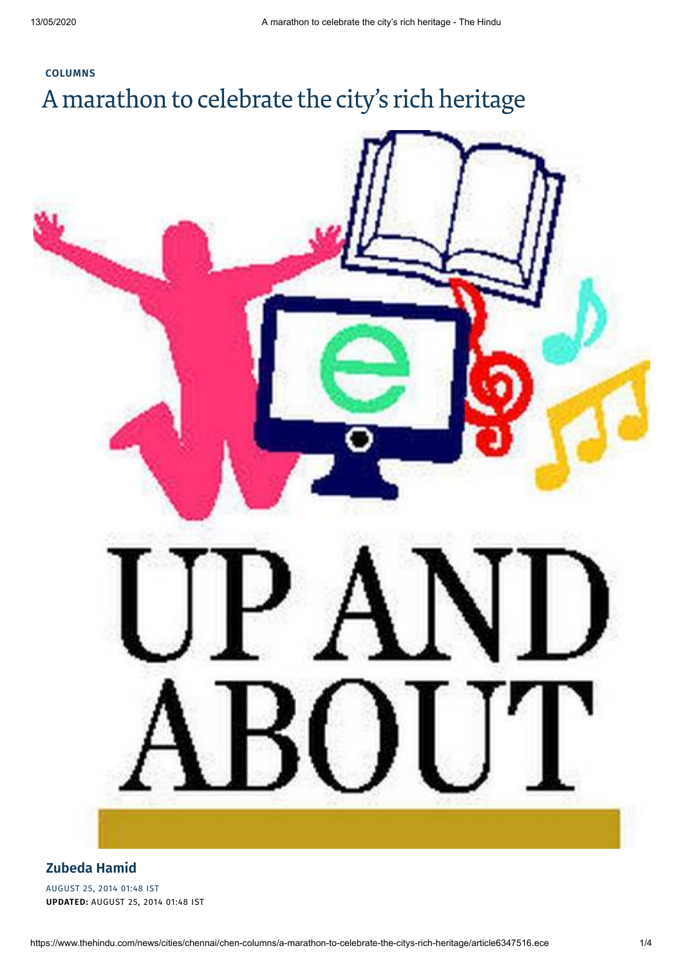# **[COLUMNS](https://www.thehindu.com/news/cities/chennai/chen-columns/)** A marathon to celebrate the city's rich heritage



#### **[Zubeda](https://www.thehindu.com/profile/author/Zubeda-Hamid-62/) Hamid**

AUGUST 25, 2014 01:48 IST **UPDATED:** AUGUST 25, 2014 01:48 IST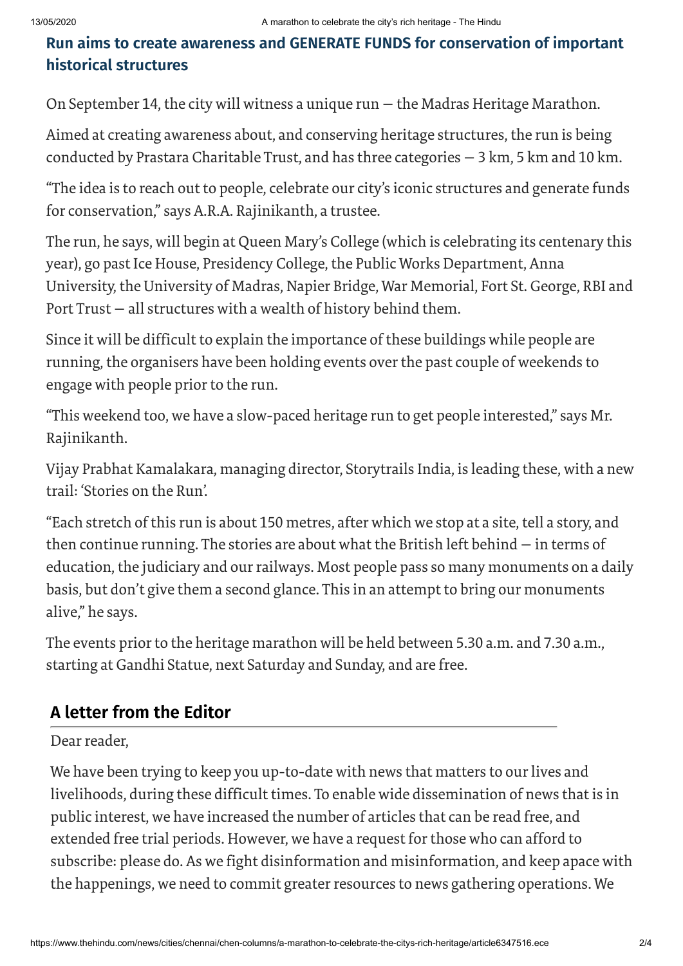### **Run aims to create awareness and GENERATE FUNDS for conservation of important historical structures**

On September 14, the city will witness a unique run — the Madras Heritage Marathon.

Aimed at creating awareness about, and conserving heritage structures, the run is being conducted by Prastara Charitable Trust, and has three categories — 3 km, 5 km and 10 km.

"The idea is to reach out to people, celebrate our city's iconic structures and generate funds for conservation," says A.R.A. Rajinikanth, a trustee.

The run, he says, will begin at Queen Mary's College (which is celebrating its centenary this year), go past Ice House, Presidency College, the Public Works Department, Anna University, the University of Madras, Napier Bridge, War Memorial, Fort St. George, RBI and Port Trust — all structures with a wealth of history behind them.

Since it will be difficult to explain the importance of these buildings while people are running, the organisers have been holding events overthe past couple of weekends to engage with people prior to the run.

"This weekend too, we have a slow-paced heritage run to get people interested," says Mr. Rajinikanth.

Vijay Prabhat Kamalakara, managing director, Storytrails India, is leading these, with a new trail: 'Stories on the Run'.

"Each stretch of this run is about 150 metres, after which we stop at a site, tell a story, and then continue running. The stories are about what the British left behind — in terms of education, the judiciary and our railways. Most people pass so many monuments on a daily basis, but don't give them a second glance. This in an attempt to bring our monuments alive," he says.

The events prior to the heritage marathon will be held between 5.30 a.m. and 7.30 a.m., starting at Gandhi Statue, next Saturday and Sunday, and are free.

## **A letter from the Editor**

### Dear reader.

We have been trying to keep you up-to-date with news that matters to our lives and livelihoods, during these difficult times. To enable wide dissemination of news that is in public interest, we have increased the number of articles that can be read free, and extended free trial periods. However, we have a request for those who can afford to subscribe: please do. As we fight disinformation and misinformation, and keep apace with the happenings, we need to commit greater resources to news gathering operations. We